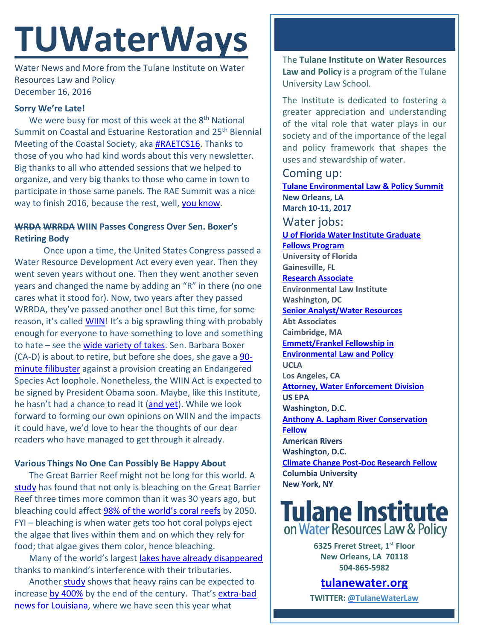# **TUWaterWays**

Water News and More from the Tulane Institute on Water Resources Law and Policy December 16, 2016

### **Sorry We're Late!**

We were busy for most of this week at the 8<sup>th</sup> National Summit on Coastal and Estuarine Restoration and 25<sup>th</sup> Biennial Meeting of the Coastal Society, aka [#RAETCS16.](https://www.estuaries.org/Summit) Thanks to those of you who had kind words about this very newsletter. Big thanks to all who attended sessions that we helped to organize, and very big thanks to those who came in town to participate in those same panels. The RAE Summit was a nice way to finish 2016, because the rest, well, [you know.](http://consequenceofsound.net/2016/12/sgt-peppers-artwork-updated-to-feature-all-the-legends-lost-in-2016/)

## **WRDA WRRDA WIIN Passes Congress Over Sen. Boxer's Retiring Body**

Once upon a time, the United States Congress passed a Water Resource Development Act every even year. Then they went seven years without one. Then they went another seven years and changed the name by adding an "R" in there (no one cares what it stood for). Now, two years after they passed WRRDA, they've passed another one! But this time, for some reason, it's called [WIIN!](https://congress.gov/bill/114th-congress/senate-bill/612/) It's a big sprawling thing with probably enough for everyone to have something to love and something to hate – see the [wide variety of takes.](https://www.google.com/webhp?sourceid=chrome-instant&ion=1&espv=2&ie=UTF-8#q=wiin+2016&tbm=nws) Sen. Barbara Boxer (CA-D) is about to retire, but before she does, she gave a [90](http://www.latimes.com/politics/essential/la-pol-ca-essential-politics-updates-water-fight-sen-boxer-giving-up-on-1481318681-htmlstory.html) [minute filibuster](http://www.latimes.com/politics/essential/la-pol-ca-essential-politics-updates-water-fight-sen-boxer-giving-up-on-1481318681-htmlstory.html) against a provision creating an Endangered Species Act loophole. Nonetheless, the WIIN Act is expected to be signed by President Obama soon. Maybe, like this Institute, he hasn't had a chance to read it [\(and yet\)](https://www.youtube.com/watch?v=EPdD3OQMNXQ). While we look forward to forming our own opinions on WIIN and the impacts it could have, we'd love to hear the thoughts of our dear readers who have managed to get through it already.

### **Various Things No One Can Possibly Be Happy About**

The Great Barrier Reef might not be long for this world. A [study](http://www.nature.com/articles/srep38402) has found that not only is bleaching on the Great Barrier Reef three times more common than it was 30 years ago, but bleaching could affect [98% of the world's coral reefs](https://www.theguardian.com/environment/2016/dec/09/great-barrier-reef-not-likely-to-survive-if-warming-trend-continues-says-report) by 2050. FYI – bleaching is when water gets too hot coral polyps eject the algae that lives within them and on which they rely for food; that algae gives them color, hence bleaching.

Many of the world's largest [lakes have already disappeared](https://www.theguardian.com/global-development-professionals-network/gallery/2016/dec/09/the-lakes-of-the-world-are-disappearing-in-pictures) thanks to mankind's interference with their tributaries.

Another [study](http://www.nature.com/articles/nclimate3168.epdf?referrer_access_token=3Jo1kNvlk-mqRx1CcuLjVtRgN0jAjWel9jnR3ZoTv0O4TbdAu8fQsBfU9yUszsIySgx92k7igf6_CKQY7-ijk3qS1dboE1jhEkVS1WjPQ4VzFnF7kn1sOWK2tiFp-OLoiuI89xu_htJM3dVF_Y7OaBSarYN3JJUI82vqmobjJI94rJ-Lh5aueTtuvayqUnXFQEeSybLXRU6795gLb-tcPbrnogIt4xFGrE5v0wPg_UDIm5OKObLFw_MRctCVzuwy-XrAF_1xs65XMwvuarHX3XDCg8gzOgT3S63KLlKIFYrIP8WfiBvL0tqD-Y4rS1Tl-Gh-EcFKHRpvWTJHFq8wzq5Z-dKIIOfFGrV_EigDdr93DJ20AMnJlinuZA4qEaKy&tracking_referrer=www.nytimes.com) shows that heavy rains can be expected to increase [by 400%](https://www.theguardian.com/environment/2016/dec/06/us-extreme-rains-increase-400-end-of-century-global-warming) by the end of the century. That's [extra-bad](http://thelensnola.org/2016/12/13/expect-more-intense-rainstorms-and-flooding-in-southern-louisiana-researchers-say/)  [news for Louisiana,](http://thelensnola.org/2016/12/13/expect-more-intense-rainstorms-and-flooding-in-southern-louisiana-researchers-say/) where we have seen this year what

The **Tulane Institute on Water Resources Law and Policy** is a program of the Tulane University Law School.

The Institute is dedicated to fostering a greater appreciation and understanding of the vital role that water plays in our society and of the importance of the legal and policy framework that shapes the uses and stewardship of water.

### Coming up:

**[Tulane Environmental Law & Policy Summit](https://tulaneenvironmentallawsummit.com/) New Orleans, LA March 10-11, 2017**  Water jobs: **[U of Florida Water Institute Graduate](http://lawprofessors.typepad.com/files/posting_uf_water-institute_graduate_fellowships.pdf)  [Fellows Program](http://lawprofessors.typepad.com/files/posting_uf_water-institute_graduate_fellowships.pdf) University of Florida Gainesville, FL [Research Associate](https://workforcenow.adp.com/jobs/apply/posting.html?client=ELI1730&jobId=11940&lang=en_US&source=CC2) Environmental Law Institute Washington, DC Senior [Analyst/Water Resources](https://career4.successfactors.com/career?career_ns=job_listing&company=AbtPROD&navBarLevel=JOB_SEARCH&rcm_site_locale=en_US&career_job_req_id=41481&selected_lang=en_US&jobAlertController_jobAlertId=&jobAlertController_jobAlertName=&_s.crb=1QSYD9IZyGxNINYgF83LkGL0FPc%3D) Abt Associates Caimbridge, MA [Emmett/Frankel Fellowship in](https://recruit.apo.ucla.edu/apply/JPF02701)  [Environmental Law and Policy](https://recruit.apo.ucla.edu/apply/JPF02701) UCLA Los Angeles, CA [Attorney, Water Enforcement Division](https://www.epa.gov/enforcement/water-enforcement) US EPA Washington, D.C. [Anthony A. Lapham River Conservation](https://www.americanrivers.org/about-us/careers/open-position-lapham-river-conservation-fellow/)  [Fellow](https://www.americanrivers.org/about-us/careers/open-position-lapham-river-conservation-fellow/) American Rivers Washington, D.C. [Climate Change Post-Doc Research Fellow](file://129.81.194.253/WaterLaw/Chris%20Dalbom/TUWW/academicjobs.columbia.edu/applicants/Central?quickFind=63476) Columbia University New York, NY**



**6325 Freret Street, 1st Floor New Orleans, LA 70118 504-865-5982** 

**tulanewater.org**

**TWITTER: [@TulaneWaterLaw](http://www.twitter.com/TulaneWaterLaw)**